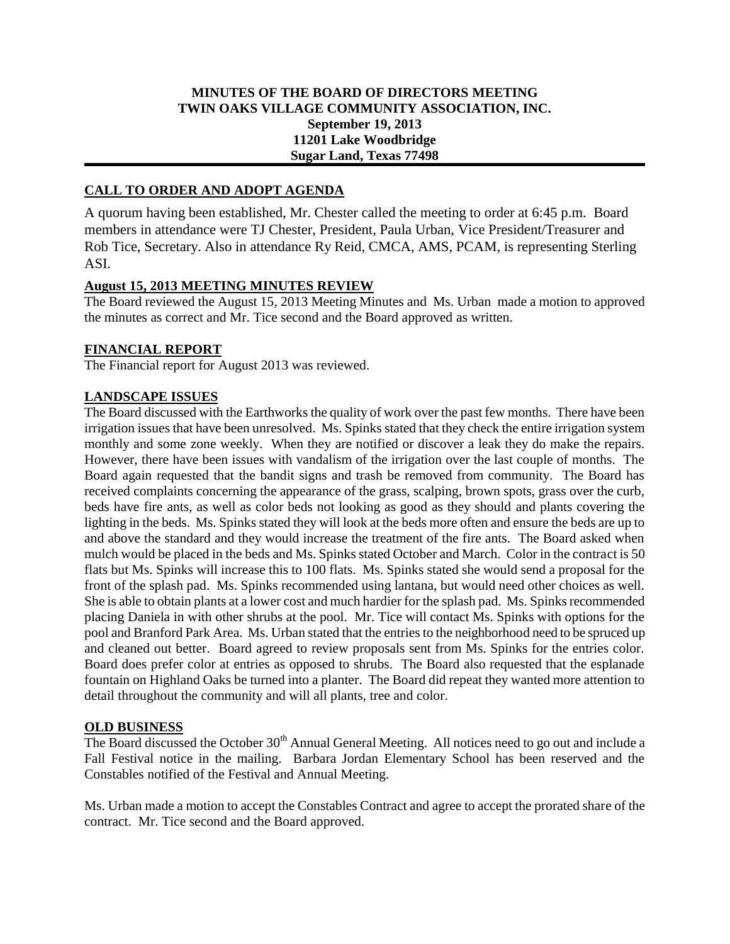## **MINUTES OF THE BOARD OF DIRECTORS MEETING TWIN OAKS VILLAGE COMMUNITY ASSOCIATION, INC. September 19, 2013 11201 Lake Woodbridge Sugar Land, Texas 77498**

# **CALL TO ORDER AND ADOPT AGENDA**

A quorum having been established, Mr. Chester called the meeting to order at 6:45 p.m. Board members in attendance were TJ Chester, President, Paula Urban, Vice President/Treasurer and Rob Tice, Secretary. Also in attendance Ry Reid, CMCA, AMS, PCAM, is representing Sterling ASI.

#### **August 15, 2013 MEETING MINUTES REVIEW**

The Board reviewed the August 15, 2013 Meeting Minutes and Ms. Urban made a motion to approved the minutes as correct and Mr. Tice second and the Board approved as written.

### **FINANCIAL REPORT**

The Financial report for August 2013 was reviewed.

### **LANDSCAPE ISSUES**

The Board discussed with the Earthworks the quality of work over the past few months. There have been irrigation issues that have been unresolved. Ms. Spinks stated that they check the entire irrigation system monthly and some zone weekly. When they are notified or discover a leak they do make the repairs. However, there have been issues with vandalism of the irrigation over the last couple of months. The Board again requested that the bandit signs and trash be removed from community. The Board has received complaints concerning the appearance of the grass, scalping, brown spots, grass over the curb, beds have fire ants, as well as color beds not looking as good as they should and plants covering the lighting in the beds. Ms. Spinks stated they will look at the beds more often and ensure the beds are up to and above the standard and they would increase the treatment of the fire ants. The Board asked when mulch would be placed in the beds and Ms. Spinks stated October and March. Color in the contract is 50 flats but Ms. Spinks will increase this to 100 flats. Ms. Spinks stated she would send a proposal for the front of the splash pad. Ms. Spinks recommended using lantana, but would need other choices as well. She is able to obtain plants at a lower cost and much hardier for the splash pad. Ms. Spinks recommended placing Daniela in with other shrubs at the pool. Mr. Tice will contact Ms. Spinks with options for the pool and Branford Park Area. Ms. Urban stated that the entries to the neighborhood need to be spruced up and cleaned out better. Board agreed to review proposals sent from Ms. Spinks for the entries color. Board does prefer color at entries as opposed to shrubs. The Board also requested that the esplanade fountain on Highland Oaks be turned into a planter. The Board did repeat they wanted more attention to detail throughout the community and will all plants, tree and color.

#### **OLD BUSINESS**

The Board discussed the October 30<sup>th</sup> Annual General Meeting. All notices need to go out and include a Fall Festival notice in the mailing. Barbara Jordan Elementary School has been reserved and the Constables notified of the Festival and Annual Meeting.

Ms. Urban made a motion to accept the Constables Contract and agree to accept the prorated share of the contract. Mr. Tice second and the Board approved.